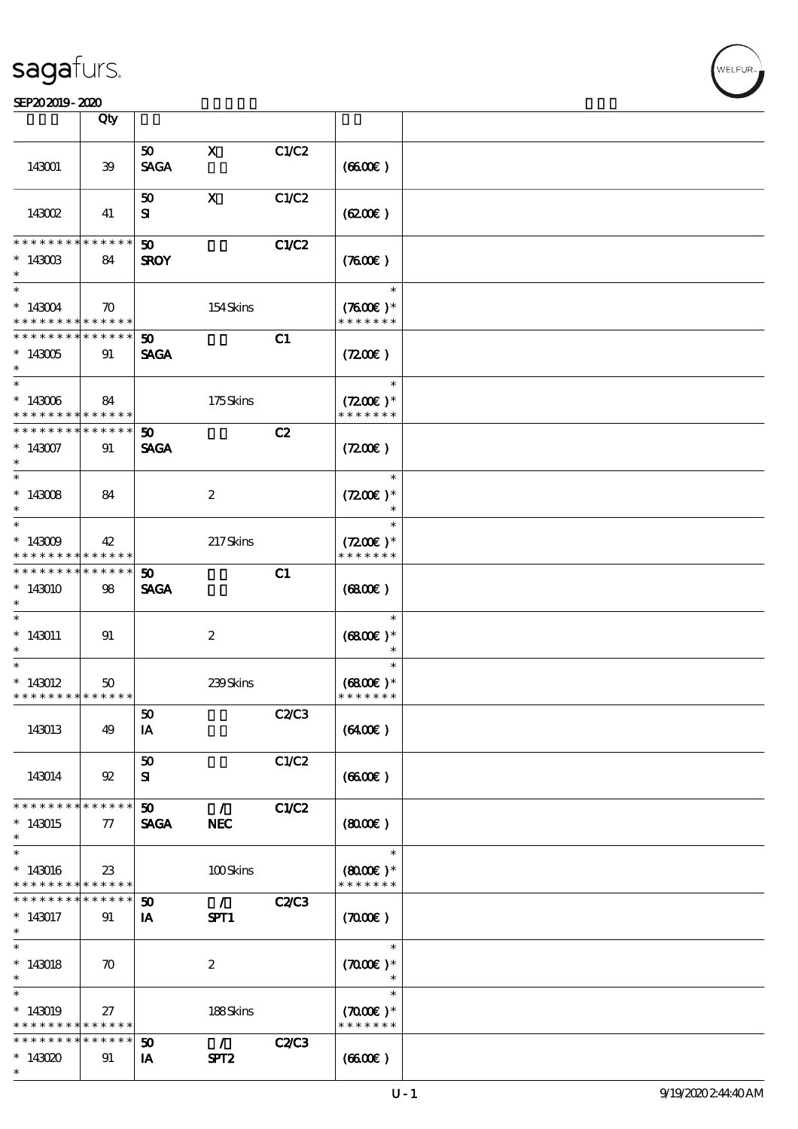#### SEP20 2019 - 2020 蓝霜白影狐 已认证

|                                                         | Qty                |                             |                                 |              |                                       |  |
|---------------------------------------------------------|--------------------|-----------------------------|---------------------------------|--------------|---------------------------------------|--|
|                                                         |                    | 50 <sub>1</sub>             | $\mathbf{x}$                    | C1/C2        |                                       |  |
| 143001                                                  | 39                 | <b>SAGA</b>                 |                                 |              | (6600)                                |  |
|                                                         |                    | 50                          | $\mathbf{x}$                    | C1/C2        |                                       |  |
| <b>143002</b>                                           | 41                 | $\mathbf{S}$                |                                 |              | (6200)                                |  |
| * * * * * * * *                                         | * * * * * *        | $\boldsymbol{\mathfrak{D}}$ |                                 | <b>C1/C2</b> |                                       |  |
| $*$ 143003<br>$\ast$                                    | 84                 | <b>SROY</b>                 |                                 |              | (7600)                                |  |
| $\ast$                                                  |                    |                             |                                 |              | $\ast$                                |  |
| $*143004$<br>* * * * * * * * <mark>* * * * * *</mark>   | $\boldsymbol{\pi}$ |                             | 154Skins                        |              | $(7600)$ *<br>* * * * * * *           |  |
| * * * * * * * * * * * * * * *                           |                    | 50 <sub>1</sub>             |                                 | C1           |                                       |  |
| $*143005$<br>$\ast$                                     | 91                 | <b>SAGA</b>                 |                                 |              | (7200)                                |  |
| $*$                                                     |                    |                             |                                 |              | $\ast$                                |  |
| $*143006$<br>* * * * * * * * <mark>* * * * * * *</mark> | 84                 |                             | 175Skins                        |              | $(7200)$ *<br>* * * * * * *           |  |
| * * * * * * * * * * * * * * *                           |                    | 50 <sub>o</sub>             |                                 | C2           |                                       |  |
| $*143007$<br>$\ast$                                     | 91                 | <b>SAGA</b>                 |                                 |              | (7200)                                |  |
|                                                         |                    |                             |                                 |              | $\ast$                                |  |
| $*143008$<br>$\ast$                                     | 84                 |                             | $\boldsymbol{2}$                |              | $(7200)$ *<br>$\ast$                  |  |
| $\overline{\phantom{0}}$                                |                    |                             |                                 |              | $\ast$                                |  |
| $*143009$<br>* * * * * * * * <mark>* * * * * *</mark>   | 42                 |                             | 217Skins                        |              | $(7200)$ *<br>* * * * * * *           |  |
| * * * * * * * *                                         | $* * * * * * *$    | 50                          |                                 | C1           |                                       |  |
| $*143010$<br>$\ast$                                     | 98                 | <b>SAGA</b>                 |                                 |              | (6800)                                |  |
| $\ast$                                                  |                    |                             |                                 |              | $\ast$                                |  |
| $*143011$<br>$\ast$                                     | 91                 |                             | $\boldsymbol{2}$                |              | $(6800)$ *<br>$\ast$                  |  |
| $\ast$                                                  |                    |                             |                                 |              | $\ast$                                |  |
| $*143012$                                               | 50                 |                             | 239Skins                        |              | $(6800)$ *                            |  |
| * * * * * * * * <mark>* * * * * *</mark>                |                    |                             |                                 |              | * * * * * * *                         |  |
| 143013                                                  | 49                 | ${\bf 50}$<br>IA            |                                 | C2C3         | (6400)                                |  |
|                                                         |                    |                             |                                 |              |                                       |  |
| 143014                                                  | 92                 | 50<br>${\bf s}$             |                                 | C1/C2        | (660)                                 |  |
| * * * * * * * *                                         | * * * * * *        | 50                          | $\mathcal{L}$                   |              |                                       |  |
| $*143015$<br>$\ast$                                     | $77\,$             | <b>SAGA</b>                 | <b>NEC</b>                      | C1/C2        | (800)                                 |  |
| $\ast$                                                  |                    |                             |                                 |              | $\ast$                                |  |
| $*143016$<br>* * * * * * * * <mark>* * * * * *</mark>   | $23\,$             |                             | 100Skins                        |              | $(8000\varepsilon)*$<br>* * * * * * * |  |
| * * * * * * * *                                         | $* * * * * * *$    | $\boldsymbol{\mathfrak{D}}$ | $\mathcal{L}$                   | <b>C2/C3</b> |                                       |  |
| $*143017$                                               | 91                 | IA                          | SPT1                            |              | (700)                                 |  |
| $\ast$<br>$\overline{\phantom{0}}$                      |                    |                             |                                 |              | $\ast$                                |  |
|                                                         |                    |                             |                                 |              |                                       |  |
| $*143018$<br>$\ast$                                     | $\boldsymbol{\pi}$ |                             | $\boldsymbol{2}$                |              | $(7000\varepsilon)*$<br>$\ast$        |  |
| $\ast$                                                  |                    |                             |                                 |              | $\ast$                                |  |
| $*143019$<br>* * * * * * * * <mark>* * * * * *</mark>   | 27                 |                             | 188Skins                        |              | $(7000\text{E})$ *<br>* * * * * * *   |  |
| * * * * * * * *                                         | * * * * * *        | 50                          | $\mathcal{L}$ and $\mathcal{L}$ | <b>C2/C3</b> |                                       |  |
| $*143020$                                               | 91                 | IA                          | SPT <sub>2</sub>                |              | (660)                                 |  |
| $\ast$                                                  |                    |                             |                                 |              |                                       |  |

 $\overline{\mathbf{r}}$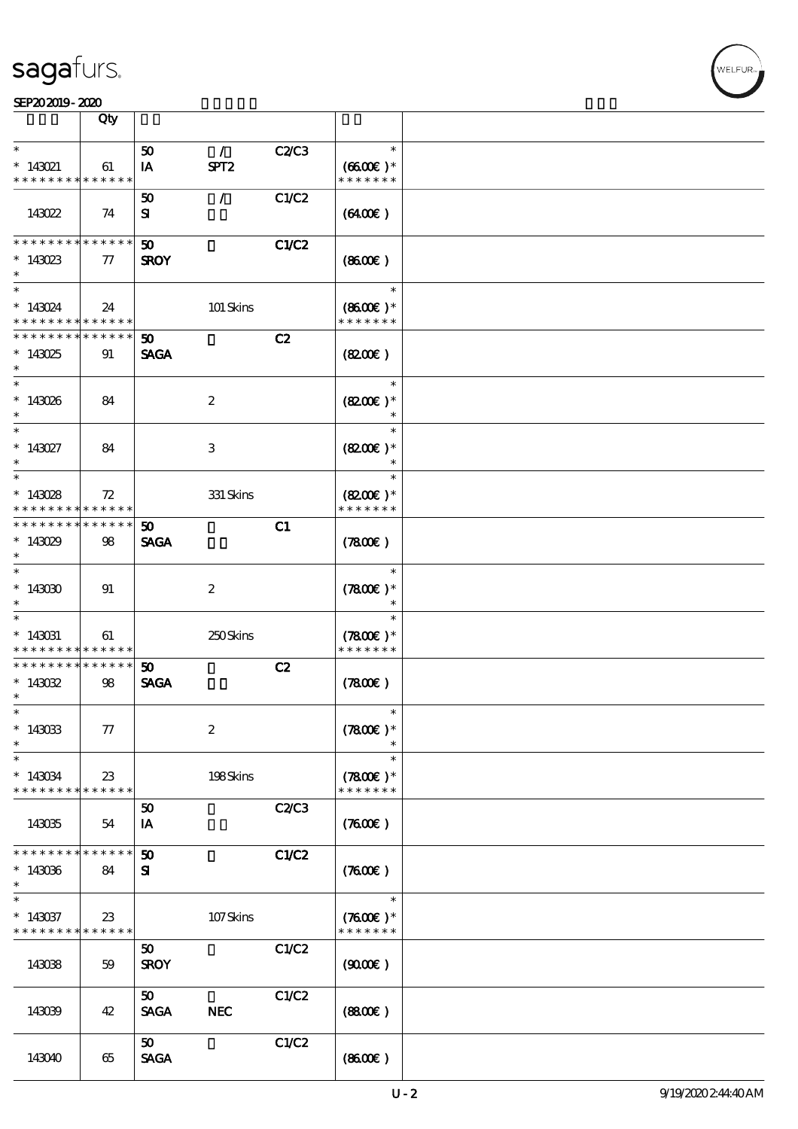

|                                                                 | Qty                        |                                            |                  |              |                                       |  |
|-----------------------------------------------------------------|----------------------------|--------------------------------------------|------------------|--------------|---------------------------------------|--|
| $\ast$                                                          |                            | 50                                         | $\mathcal{L}$    | C2/C3        | $\ast$                                |  |
| $* 143021$<br>* * * * * * * *                                   | 61<br>* * * * * *          | IA                                         | SPT <sub>2</sub> |              | $(6600)$ *<br>* * * * * * *           |  |
| 143022                                                          | 74                         | 50<br>${\bf s}$                            | $\mathcal{L}$    | C1/C2        | (6400)                                |  |
| * * * * * * *<br>$*143023$<br>$\ast$                            | * * * * * *<br>${\bf \pi}$ | $\boldsymbol{\mathfrak{D}}$<br><b>SROY</b> |                  | C1/C2        | $(8600\varepsilon)$                   |  |
| $\ast$<br>$* 143024$<br>* * * * * * * *                         | 24<br>* * * * * *          |                                            | 101 Skins        |              | $\ast$<br>$(8600)$ *<br>* * * * * * * |  |
| * * * * * * * *<br>$*143025$<br>$\ast$                          | * * * * * *<br>91          | $\boldsymbol{\omega}$<br><b>SAGA</b>       |                  | C2           | (820)                                 |  |
| $\ast$<br>$*143026$<br>$\ast$                                   | 84                         |                                            | $\boldsymbol{2}$ |              | $\ast$<br>$(8200)$ *<br>$\ast$        |  |
| $\ast$<br>$* 143027$<br>$\ast$                                  | 84                         |                                            | $\,3$            |              | $\ast$<br>$(8200)$ *<br>$\ast$        |  |
| $\ast$<br>$*143028$<br>* * * * * * * *                          | 72<br>* * * * * *          |                                            | $331$ Skins      |              | $\ast$<br>$(8200)$ *<br>* * * * * * * |  |
| * * * * * * *<br>$*143029$<br>$\ast$                            | ******<br>98               | 50<br><b>SAGA</b>                          |                  | C1           | (7800)                                |  |
| $\ast$<br>$*143030$<br>$\ast$                                   | 91                         |                                            | $\boldsymbol{2}$ |              | $\ast$<br>$(7800)$ *                  |  |
| $\ast$<br>$* 143031$<br>* * * * * * * *                         | 61<br>* * * * * *          |                                            | 250Skins         |              | $\ast$<br>$(7800)$ *<br>* * * * * * * |  |
| * * * * * * * *<br>$*143032$<br>$\ast$                          | $* * * * * * *$<br>98      | 50<br><b>SAGA</b>                          |                  | C2           | (7800)                                |  |
| $*$<br>$\hspace{0.1cm}^*$ 143033<br>$\ast$                      | $77\,$                     |                                            | $\boldsymbol{2}$ |              | $\ast$<br>$(7800)$ *                  |  |
| $\ast$<br>$*143034$<br>* * * * * * * *                          | $23\,$<br>$* * * * * * *$  |                                            | 198Skins         |              | $\ast$<br>$(7800)$ *<br>* * * * * * * |  |
| 143035                                                          | 54                         | 50<br>IA                                   |                  | <b>C2/C3</b> | (7600)                                |  |
| * * * * * * * *<br>$*143036$<br>$\ast$                          | * * * * * *<br>84          | $\boldsymbol{\mathfrak{D}}$<br>${\bf s}$   |                  | C1/C2        | $(7600\varepsilon)$                   |  |
| $\ast$<br>$*143037$<br>* * * * * * * * <mark>* * * * * *</mark> | 23                         |                                            | 107Skins         |              | $\ast$<br>$(7600)$ *<br>* * * * * * * |  |
| 143038                                                          | 59                         | 50<br><b>SROY</b>                          |                  | C1/C2        | (900E)                                |  |
| 143039                                                          | 42                         | 50<br><b>SAGA</b>                          | <b>NEC</b>       | C1/C2        | (880)                                 |  |
| 143040                                                          | 65                         | 50 <sub>o</sub><br><b>SAGA</b>             |                  | C1/C2        | (860)                                 |  |

**VELFUR**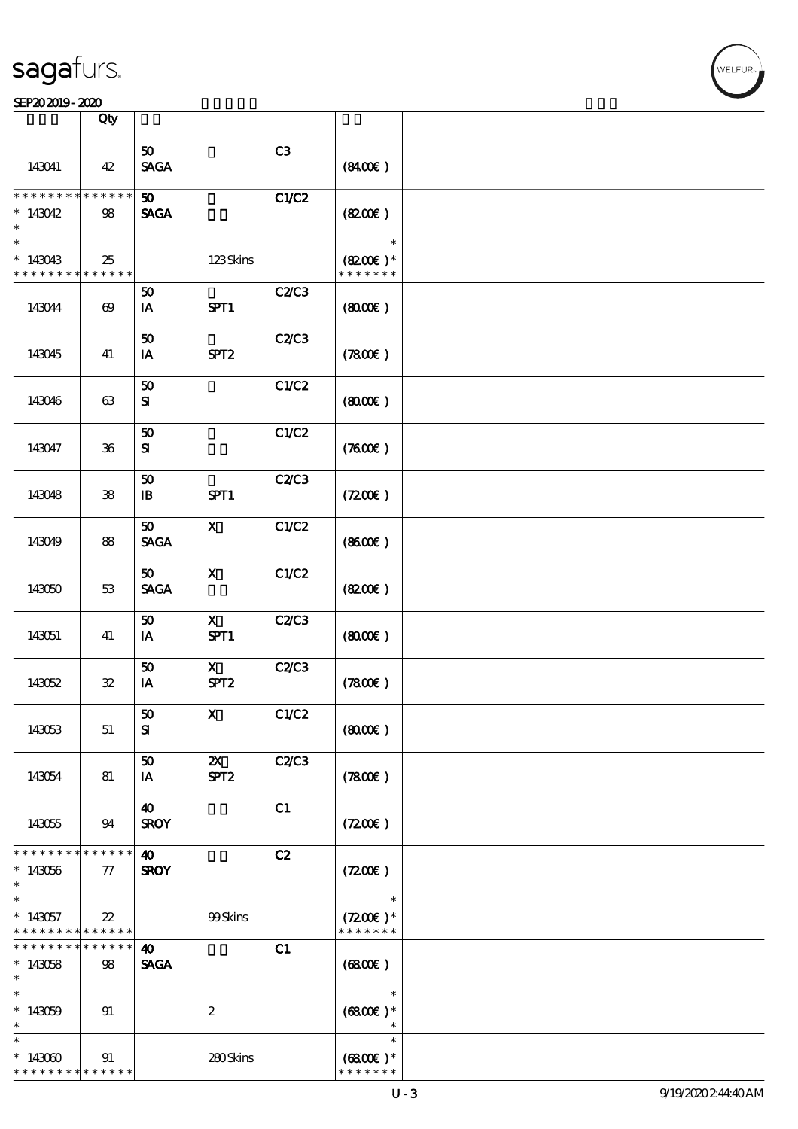|                                            | Qty                   |                                |                           |       |                     |  |
|--------------------------------------------|-----------------------|--------------------------------|---------------------------|-------|---------------------|--|
|                                            |                       |                                |                           |       |                     |  |
| 143041                                     | 42                    | 50 <sub>1</sub><br><b>SAGA</b> |                           | C3    | (840E)              |  |
| * * * * * * * *                            | * * * * * * *         | 50                             |                           | C1/C2 |                     |  |
| $*143042$<br>$\ast$                        | 98                    | <b>SAGA</b>                    |                           |       | (820)               |  |
| $\ast$                                     |                       |                                |                           |       | $\ast$              |  |
| $*143043$                                  | 25                    |                                | 123Skins                  |       | $(8200)$ *          |  |
| * * * * * * * * <mark>* * * * * *</mark>   |                       |                                |                           |       | * * * * * * *       |  |
|                                            |                       | 50                             |                           | C2C3  |                     |  |
| 143044                                     | $\boldsymbol{\omega}$ | IA                             | SPT1                      |       | (800)               |  |
|                                            |                       | 50                             |                           | C2/C3 |                     |  |
| 143045                                     | 41                    | IA                             | SPT <sub>2</sub>          |       | (7800)              |  |
|                                            |                       |                                |                           |       |                     |  |
|                                            |                       | 50                             |                           | C1/C2 |                     |  |
| 143046                                     | 63                    | ${\bf s}$                      |                           |       | (800)               |  |
|                                            |                       |                                |                           |       |                     |  |
|                                            |                       | ${\bf 50}$                     |                           | C1/C2 |                     |  |
|                                            |                       |                                |                           |       |                     |  |
| 143047                                     | $36\,$                | ${\bf s}$                      |                           |       | (7600)              |  |
|                                            |                       |                                |                           |       |                     |  |
|                                            |                       | 50                             |                           | C2/C3 |                     |  |
| 143048                                     | ${\bf 38}$            | $\mathbf{B}$                   | SPT1                      |       | $(7200\varepsilon)$ |  |
|                                            |                       |                                |                           |       |                     |  |
|                                            |                       | 50                             | $\mathbf{x}$              | C1/C2 |                     |  |
| 143049                                     | 88                    | <b>SAGA</b>                    |                           |       | (860E)              |  |
|                                            |                       |                                |                           |       |                     |  |
|                                            |                       | 50                             | $\mathbf x$               | C1/C2 |                     |  |
| 143050                                     | 53                    | <b>SAGA</b>                    |                           |       | (820)               |  |
|                                            |                       |                                |                           |       |                     |  |
|                                            |                       | 50                             | $\mathbf{X}$              | C2C3  |                     |  |
| 143051                                     | 41                    | IA                             | SPT1                      |       | (800)               |  |
|                                            |                       |                                |                           |       |                     |  |
|                                            |                       | 50                             | $\mathbf{X}$              | C2/C3 |                     |  |
| 143052                                     | $\mathbf{32}$         | IA                             | SPT <sub>2</sub>          |       | (7800)              |  |
|                                            |                       |                                |                           |       |                     |  |
|                                            |                       | 50                             | $\mathbf{x}$              | C1/C2 |                     |  |
| 143053                                     | 51                    | ${\bf s}$                      |                           |       | (800)               |  |
|                                            |                       |                                |                           |       |                     |  |
|                                            |                       | 50                             | $\boldsymbol{\mathsf{X}}$ | C2C3  |                     |  |
| 143054                                     | 81                    | IA                             | SPT <sub>2</sub>          |       | (7800)              |  |
|                                            |                       |                                |                           |       |                     |  |
|                                            |                       | $\boldsymbol{\omega}$          |                           | C1    |                     |  |
| 143055                                     | 94                    | <b>SROY</b>                    |                           |       | (7200)              |  |
|                                            |                       |                                |                           |       |                     |  |
| * * * * * * * *                            | * * * * * *           | $\boldsymbol{\omega}$          |                           | C2    |                     |  |
| $*143056$                                  | 77                    | <b>SROY</b>                    |                           |       | (7200)              |  |
| $\ast$                                     |                       |                                |                           |       |                     |  |
| $\ast$                                     |                       |                                |                           |       | $\ast$              |  |
| $*143057$                                  | $22\,$                |                                | 99Skins                   |       | $(7200)$ *          |  |
| * * * * * * * *                            | * * * * * *           |                                |                           |       | * * * * * * *       |  |
| * * * * * * * *                            | * * * * * *           | $\boldsymbol{\omega}$          |                           | C1    |                     |  |
|                                            |                       |                                |                           |       |                     |  |
| $*143058$<br>$\ast$                        | 98                    | <b>SAGA</b>                    |                           |       | (6800)              |  |
| $\ast$                                     |                       |                                |                           |       | $\ast$              |  |
|                                            |                       |                                |                           |       |                     |  |
| $*143059$                                  | 91                    |                                | $\boldsymbol{z}$          |       | $(6800E)*$          |  |
| $\ast$                                     |                       |                                |                           |       | $\ast$              |  |
| $\ast$                                     |                       |                                |                           |       | $\ast$              |  |
| $*143000$                                  | 91                    |                                | 280Skins                  |       | $(6800\text{E})*$   |  |
| * * * * * * * * <mark>* * * * * * *</mark> |                       |                                |                           |       | * * * * * * *       |  |

**VELFUR**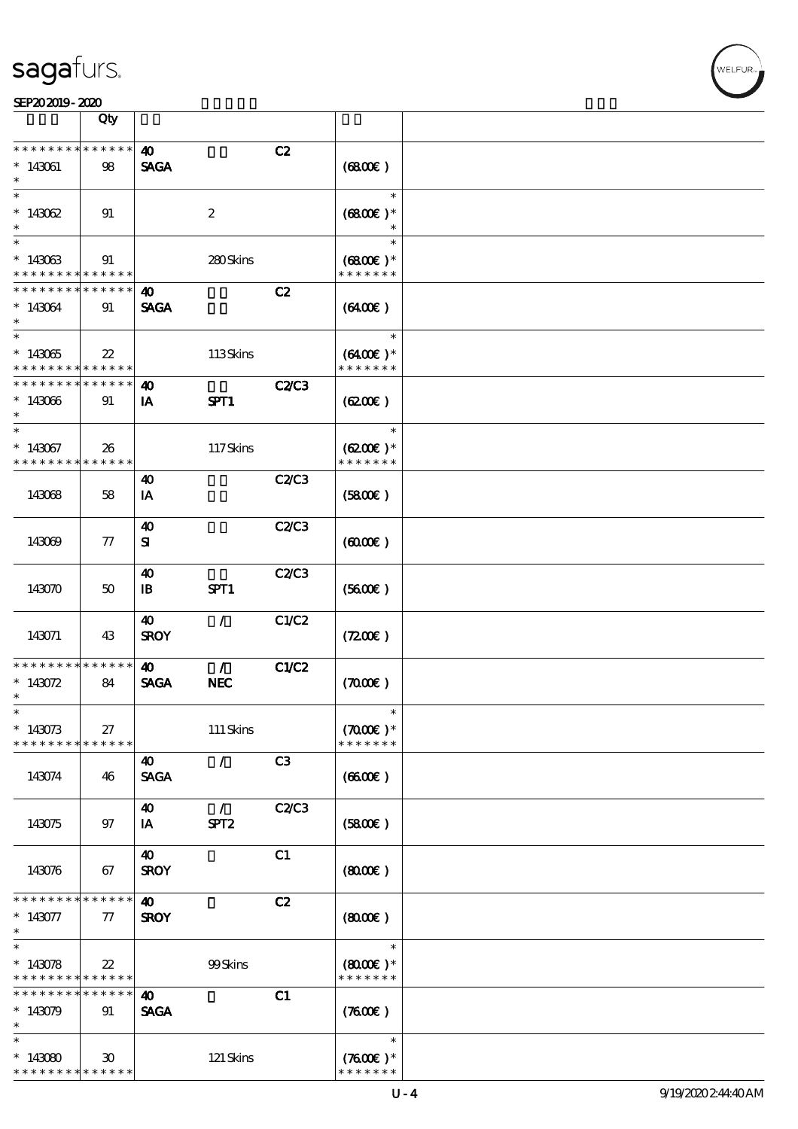|                                                         | Qty                        |                       |                  |              |                             |  |
|---------------------------------------------------------|----------------------------|-----------------------|------------------|--------------|-----------------------------|--|
| * * * * * * * *                                         | * * * * * *                | $\boldsymbol{\omega}$ |                  | C2           |                             |  |
| $*143061$                                               | 98                         | <b>SAGA</b>           |                  |              | (6800)                      |  |
| $\ast$                                                  |                            |                       |                  |              | $\ast$                      |  |
| $*143062$                                               | 91                         |                       | $\boldsymbol{2}$ |              | $(6800\text{E})*$           |  |
| $\ast$                                                  |                            |                       |                  |              | $\ast$                      |  |
| $*143063$<br>* * * * * * * *                            | 91<br>* * * * * *          |                       | 280Skins         |              | $(6800)$ *<br>* * * * * * * |  |
| * * * * * * * *                                         | * * * * * *                | 40                    |                  | C2           |                             |  |
| * 143064<br>$\ast$                                      | 91                         | <b>SAGA</b>           |                  |              | (6400)                      |  |
| $\ast$                                                  |                            |                       |                  |              | $\ast$                      |  |
| $*143065$<br>* * * * * * * *                            | 22<br>* * * * * *          |                       | 113Skins         |              | $(6400)$ *<br>* * * * * * * |  |
| * * * * * * * *                                         | * * * * * *                | 40                    |                  | <b>C2/C3</b> |                             |  |
| $*143066$<br>$\ast$                                     | 91                         | IA                    | SPT1             |              | (6200)                      |  |
| $\ast$                                                  |                            |                       |                  |              | $\ast$                      |  |
| $*143067$<br>* * * * * * * *                            | 26<br>* * * * * *          |                       | 117Skins         |              | $(6200)$ *<br>* * * * * * * |  |
|                                                         |                            | 40                    |                  | C2C3         |                             |  |
| 143068                                                  | 58                         | IA                    |                  |              | (5800)                      |  |
|                                                         |                            | $\boldsymbol{\omega}$ |                  | C2C3         |                             |  |
| 143069                                                  | 77                         | ${\bf s}$             |                  |              | $(6000\varepsilon)$         |  |
|                                                         |                            | 40                    |                  | C2/C3        |                             |  |
| 143070                                                  | 50                         | $\mathbf{B}$          | SPT1             |              | (5600)                      |  |
| 143071                                                  | 43                         | 40<br><b>SROY</b>     | $\mathcal{L}$    | C1/C2        | (7200)                      |  |
|                                                         |                            |                       |                  |              |                             |  |
| * * * * * * * *                                         | * * * * * *                | $\boldsymbol{\omega}$ | $\mathcal{L}$    | C1/C2        |                             |  |
| $*143072$                                               | 84                         | <b>SAGA</b>           | <b>NEC</b>       |              | (700)                       |  |
| $\ast$                                                  |                            |                       |                  |              |                             |  |
| $\ast$                                                  |                            |                       |                  |              | $\ast$                      |  |
| $*143073$                                               | 27                         |                       | $111$ Skins      |              | $(7000)$ *                  |  |
| * * * * * * * *                                         | ******                     |                       |                  |              | * * * * * * *               |  |
|                                                         |                            | 40                    | $\mathcal{L}$    | C3           |                             |  |
| 143074                                                  | 46                         | <b>SAGA</b>           |                  |              | (660)                       |  |
|                                                         |                            | $\boldsymbol{\omega}$ | $\mathcal{L}$    | C2C3         |                             |  |
| 143075                                                  | 97                         | IA                    | SPT <sub>2</sub> |              | (5800)                      |  |
|                                                         |                            | 40                    |                  | C1           |                             |  |
| 143076                                                  | 67                         | <b>SROY</b>           |                  |              | (800)                       |  |
| * * * * * * * *                                         | * * * * * *                | 40                    |                  | C2           |                             |  |
| $*143077$<br>$\ast$                                     | $\tau$                     | <b>SROY</b>           |                  |              | $(8000\varepsilon)$         |  |
| $\overline{\phantom{0}}$                                |                            |                       |                  |              | $\ast$                      |  |
| $*143078$<br>* * * * * * * * * * * * * * *              | $22\,$                     |                       | 99Skins          |              | $(8000)$ *<br>* * * * * * * |  |
| * * * * * * * *                                         | $\ast\ast\ast\ast\ast\ast$ | $\boldsymbol{\omega}$ |                  | C1           |                             |  |
| $*143079$                                               | 91                         | <b>SAGA</b>           |                  |              | (7600)                      |  |
| $\ast$<br>$\ast$                                        |                            |                       |                  |              |                             |  |
|                                                         |                            |                       |                  |              | $\ast$                      |  |
| $*143080$<br>* * * * * * * * <mark>* * * * * * *</mark> | $30^{\circ}$               |                       | 121 Skins        |              | $(7600)$ *<br>* * * * * * * |  |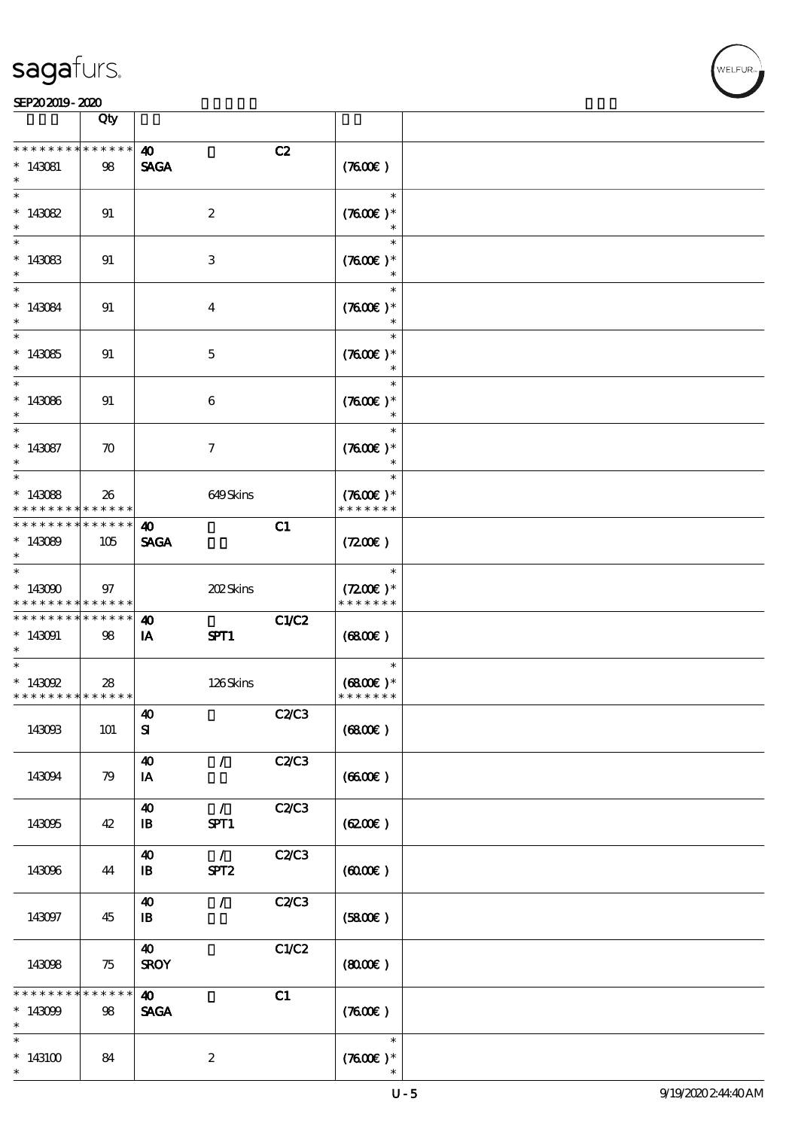|                                                                                     | Qty                   |                                       |                                   |       |                                       |  |
|-------------------------------------------------------------------------------------|-----------------------|---------------------------------------|-----------------------------------|-------|---------------------------------------|--|
| * * * * * * * *<br>$*143081$                                                        | * * * * * *<br>98     | 40<br><b>SAGA</b>                     |                                   | C2    | (7600)                                |  |
| $\overline{\ast}$<br>$*143082$                                                      | 91                    |                                       | $\boldsymbol{2}$                  |       | $\ast$<br>$(7600)$ *<br>$\ast$        |  |
| $*143083$<br>$\ast$                                                                 | 91                    |                                       | 3                                 |       | $\ast$<br>$(7600)$ *                  |  |
| $\ast$<br>$*143084$<br>$\ast$                                                       | 91                    |                                       | $\overline{4}$                    |       | $\ast$<br>$(7600)$ *                  |  |
| $*143085$<br>$\ast$                                                                 | 91                    |                                       | $\mathbf 5$                       |       | $\ast$<br>$(7600)$ *<br>$\ast$        |  |
| $*$<br>$*143086$<br>$\ast$                                                          | 91                    |                                       | $\boldsymbol{6}$                  |       | $\ast$<br>$(7600)$ *<br>$\ast$        |  |
| $\overline{\ast}$<br>$*143087$<br>$\ast$                                            | $\boldsymbol{\pi}$    |                                       | $\tau$                            |       | $\ast$<br>$(7600)$ *<br>$\ast$        |  |
| $*143088$<br>* * * * * * * *                                                        | 26<br>* * * * * * *   |                                       | 649Skins                          |       | $\ast$<br>$(7600)$ *<br>* * * * * * * |  |
| * * * * * * * *<br>$*143089$<br>$\ast$                                              | $******$<br>105       | $\boldsymbol{\omega}$<br><b>SAGA</b>  |                                   | C1    | (720)                                 |  |
| $\overline{\phantom{0}}$<br>$*143000$<br>* * * * * * * * <mark>* * * * * * *</mark> | 97                    |                                       | 202Skins                          |       | $\ast$<br>$(7200)$ *<br>* * * * * * * |  |
| * * * * * * * * <mark>*</mark><br>$*143091$<br>$\ast$                               | $* * * * * * *$<br>98 | $\boldsymbol{\omega}$<br><b>IA</b>    | SPT1                              | C1/C2 | (6800)                                |  |
| $\ast$<br>$*$ 143092<br>* * * * * * * * <mark>* * * * * *</mark>                    | 28                    |                                       | 126Skins                          |       | $\ast$<br>$(6800)$ *<br>* * * * * * * |  |
| 143093                                                                              | 101                   | $\boldsymbol{\omega}$<br>${\bf S}$    |                                   | C2C3  | (6800)                                |  |
| 143094                                                                              | 79                    | $\boldsymbol{\omega}$<br>IA           | $\mathcal{L}$                     | C2C3  | (660)                                 |  |
| 143095                                                                              | 42                    | $\boldsymbol{\omega}$<br>$\mathbf{B}$ | $\mathcal{L}$<br>SPT1             | C2C3  | (6200)                                |  |
| 143096                                                                              | 44                    | $\boldsymbol{40}$<br>$\mathbf{B}$     | $\mathcal{L}$<br>SPT <sub>2</sub> | C2/C3 | (6000)                                |  |
| 143097                                                                              | 45                    | $\boldsymbol{\omega}$<br>$\mathbf{B}$ | $\mathcal{L}$                     | C2C3  | (5800)                                |  |
| 143098                                                                              | 75                    | $\boldsymbol{\omega}$<br><b>SROY</b>  |                                   | C1/C2 | (800)                                 |  |
| * * * * * *<br>$*143099$<br>$\ast$                                                  | * * * * * *<br>98     | $\boldsymbol{\omega}$<br><b>SAGA</b>  |                                   | C1    | (7600)                                |  |
| $\ast$<br>$*143100$<br>$\ast$                                                       | 84                    |                                       | $\boldsymbol{z}$                  |       | $\ast$<br>$(7600\text{E})*$           |  |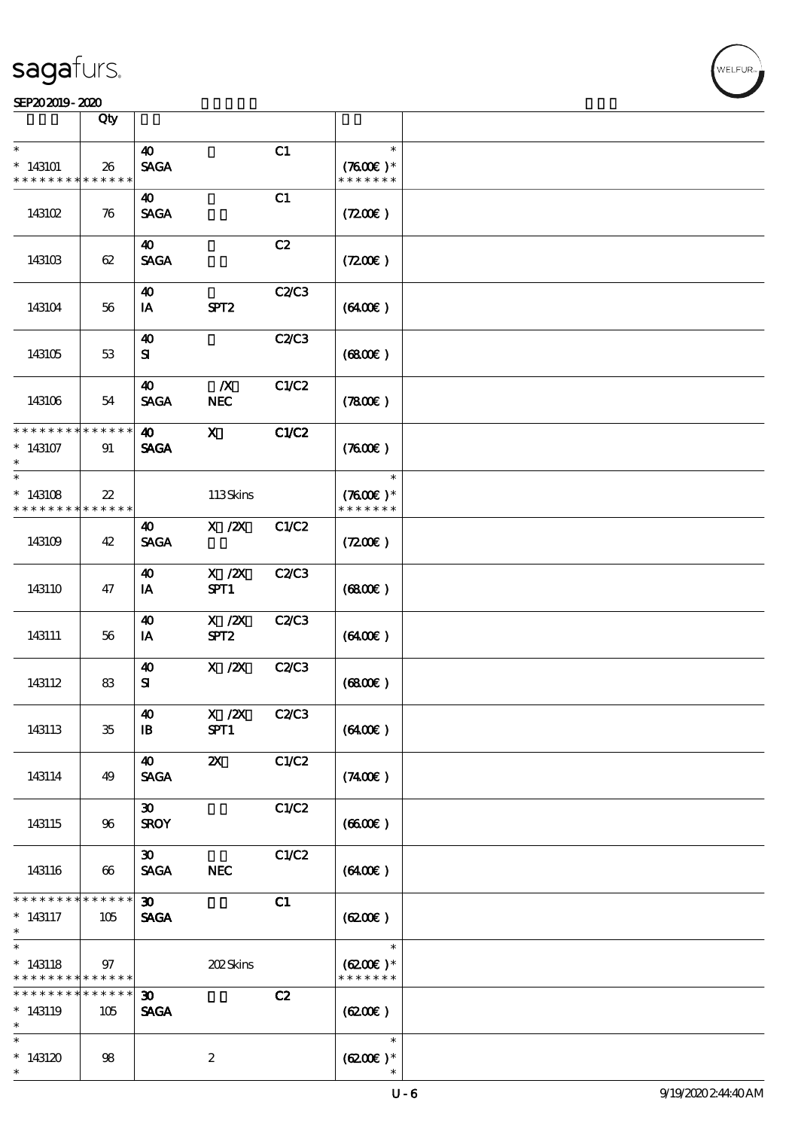#### SEP202019-2020

|                                                       | Qty                    |                                                     |                                                                              |              |                                       |  |
|-------------------------------------------------------|------------------------|-----------------------------------------------------|------------------------------------------------------------------------------|--------------|---------------------------------------|--|
| $\ast$                                                |                        | 40                                                  |                                                                              | C1           | $\ast$                                |  |
| $*143101$<br>* * * * * * * *                          | 26<br>* * * * * *      | <b>SAGA</b>                                         |                                                                              |              | $(7600)$ *<br>* * * * * * *           |  |
| 143102                                                | 76                     | 40<br><b>SAGA</b>                                   |                                                                              | C1           | (7200)                                |  |
| 143103                                                | 62                     | $\boldsymbol{\omega}$<br><b>SAGA</b>                |                                                                              | C2           | (7200)                                |  |
| 143104                                                | 56                     | 40<br>IA                                            | SPT <sub>2</sub>                                                             | C2C3         | (6400)                                |  |
| 143105                                                | 53                     | 40<br>${\bf s}$                                     |                                                                              | C2C3         | (6800)                                |  |
| 143106                                                | 54                     | 40<br><b>SAGA</b>                                   | $\boldsymbol{X}$<br><b>NEC</b>                                               | C1/C2        | (7800)                                |  |
| * * * * * * * *<br>$*143107$<br>$\ast$                | * * * * * *<br>91      | $\boldsymbol{\omega}$<br><b>SAGA</b>                | $\mathbf{x}$                                                                 | C1/C2        | (7600)                                |  |
| $\ast$<br>$*143108$<br>* * * * * * * *                | $22\,$<br>* * * * * *  |                                                     | 113Skins                                                                     |              | $\ast$<br>$(7600)$ *<br>* * * * * * * |  |
| 143109                                                | 42                     | $\boldsymbol{\omega}$<br><b>SAGA</b>                | $\boldsymbol{\mathrm{X}}$ / $\boldsymbol{\mathrm{Z}}\boldsymbol{\mathrm{X}}$ | C1/C2        | (7200)                                |  |
| 143110                                                | 47                     | 40<br>IA                                            | $X$ / $ZX$<br>SPT1                                                           | C2C3         | (6800)                                |  |
| 143111                                                | 56                     | 40<br>IA                                            | $X$ / $ZX$<br>SPT <sub>2</sub>                                               | C2C3         | (6400)                                |  |
| 143112                                                | 83                     | 40<br>${\bf s}$                                     | $X$ / $ZX$                                                                   | <b>C2/C3</b> | (6800)                                |  |
| 143113                                                | $35\,$                 | $\boldsymbol{\omega}$<br>$\, {\bf I} \! {\bf B} \,$ | $\boldsymbol{\mathrm{X}}$ / <b>Z</b> X<br>SPT1                               | C2C3         | (6400)                                |  |
| 143114                                                | 49                     | 40<br><b>SAGA</b>                                   | $\boldsymbol{\mathsf{z}}$                                                    | C1/C2        | (7400)                                |  |
| 143115                                                | 96                     | $\boldsymbol{\mathfrak{D}}$<br><b>SROY</b>          |                                                                              | C1/C2        | (660)                                 |  |
| 143116                                                | 66                     | $\boldsymbol{\mathfrak{D}}$<br><b>SAGA</b>          | <b>NEC</b>                                                                   | C1/C2        | (6400)                                |  |
| * * * * * * * *<br>$* 143117$<br>$\ast$               | $* * * * * * *$<br>105 | 30 <sub>o</sub><br><b>SAGA</b>                      |                                                                              | C1           | (620)                                 |  |
| $\ast$<br>$*143118$<br>* * * * * * * * <mark>*</mark> | 97<br>$* * * * * * *$  |                                                     | 202Skins                                                                     |              | $\ast$<br>$(6200)$ *<br>* * * * * * * |  |
| * * * * * * * *<br>$*143119$<br>$\ast$                | * * * * * *<br>105     | $\boldsymbol{\mathfrak{D}}$<br><b>SAGA</b>          |                                                                              | C2           | (6200)                                |  |
| $\ast$<br>$*143120$<br>$\ast$                         | 98                     |                                                     | $\boldsymbol{2}$                                                             |              | $\ast$<br>$(6200)$ *                  |  |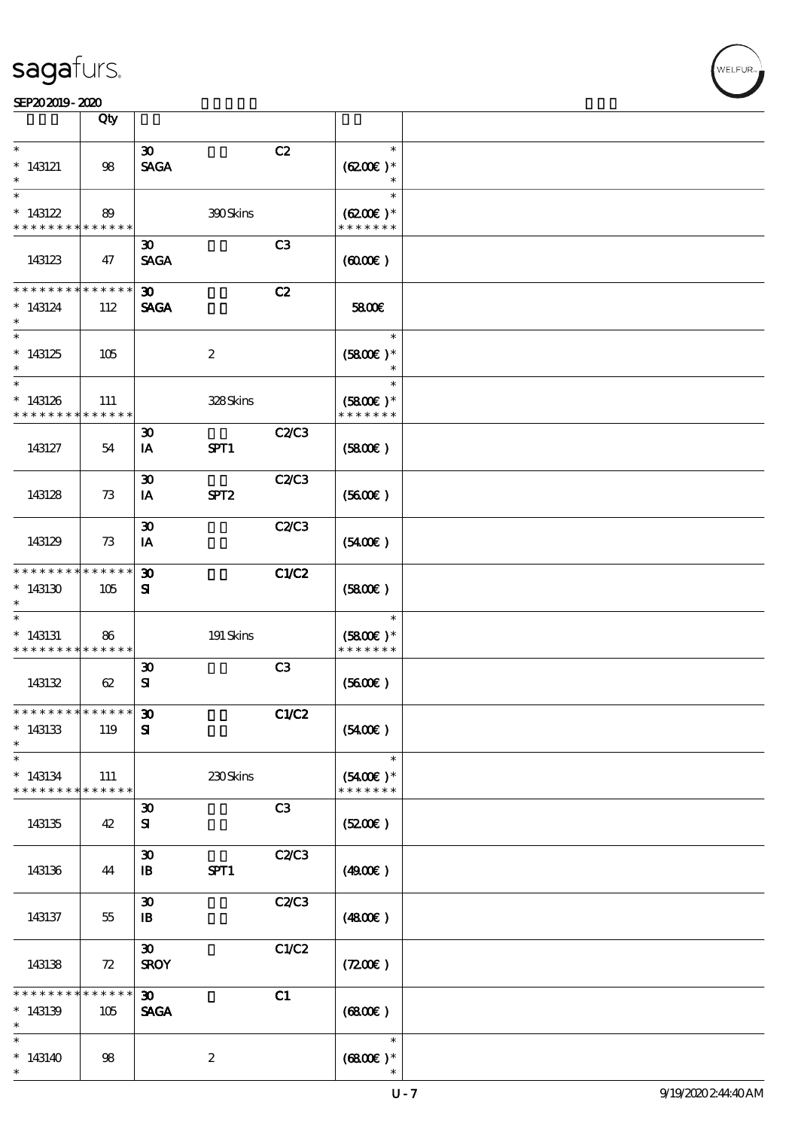|                    | Qty         |                             |                  |              |               |  |
|--------------------|-------------|-----------------------------|------------------|--------------|---------------|--|
| $\ast$             |             |                             |                  |              | $\ast$        |  |
|                    |             | $\boldsymbol{\mathfrak{D}}$ |                  | C2           |               |  |
| $*143121$          | 98          | <b>SAGA</b>                 |                  |              | $(6200)$ *    |  |
| $\ast$             |             |                             |                  |              |               |  |
| $\ast$             |             |                             |                  |              | $\ast$        |  |
| $*143122$          | 89          |                             | 390Skins         |              | $(6200)$ *    |  |
| * * * * * * * *    | * * * * * * |                             |                  |              | * * * * * * * |  |
|                    |             |                             |                  |              |               |  |
|                    |             | $\boldsymbol{\mathfrak{D}}$ |                  | C3           |               |  |
| 143123             | 47          | <b>SAGA</b>                 |                  |              | (600)         |  |
|                    |             |                             |                  |              |               |  |
| * * * * * * * *    | * * * * * * | $\boldsymbol{\mathfrak{D}}$ |                  | C2           |               |  |
| $*143124$          | 112         | <b>SAGA</b>                 |                  |              | 5800€         |  |
|                    |             |                             |                  |              |               |  |
|                    |             |                             |                  |              |               |  |
| $\ast$             |             |                             |                  |              | $\ast$        |  |
| $*143125$          | 105         |                             | $\boldsymbol{2}$ |              | $(5800)$ *    |  |
|                    |             |                             |                  |              |               |  |
| $\ast$             |             |                             |                  |              | $\ast$        |  |
| $*143126$          | 111         |                             | 328Skins         |              | $(5800)$ *    |  |
| * * * * * * * *    | * * * * * * |                             |                  |              | * * * * * * * |  |
|                    |             |                             |                  |              |               |  |
|                    |             | $\boldsymbol{\mathfrak{D}}$ |                  | C2/C3        |               |  |
| 143127             | 54          | IA                          | SPT1             |              | (5800)        |  |
|                    |             |                             |                  |              |               |  |
|                    |             | $\boldsymbol{\mathfrak{D}}$ |                  | <b>C2/C3</b> |               |  |
| 143128             | 73          | IA                          | SPT <sub>2</sub> |              | (5600)        |  |
|                    |             |                             |                  |              |               |  |
|                    |             |                             |                  |              |               |  |
|                    |             | $\boldsymbol{\mathfrak{D}}$ |                  | C2C3         |               |  |
| 143129             | 73          | IA                          |                  |              | (5400)        |  |
|                    |             |                             |                  |              |               |  |
| * * * * * * * *    | * * * * * * | $\boldsymbol{\mathfrak{D}}$ |                  | C1/C2        |               |  |
| $*143130$          | 105         | ${\bf s}$                   |                  |              | (5800)        |  |
|                    |             |                             |                  |              |               |  |
| $\ast$             |             |                             |                  |              | $\ast$        |  |
|                    |             |                             |                  |              |               |  |
| $*143131$          | 86          |                             | 191 Skins        |              | $(5800)$ *    |  |
| * * * * * * * *    | ******      |                             |                  |              | * * * * * * * |  |
|                    |             | $\boldsymbol{\mathfrak{D}}$ |                  | C3           |               |  |
| 143132             | 62          | ${\bf s}$                   |                  |              | (5600)        |  |
|                    |             |                             |                  |              |               |  |
| *************** 30 |             |                             |                  | C1/C2        |               |  |
| $*143133$          | 119         | ${\bf s}$                   |                  |              | (5400)        |  |
|                    |             |                             |                  |              |               |  |
| $\ast$             |             |                             |                  |              |               |  |
| $\ast$             |             |                             |                  |              | $\ast$        |  |
| $*143134$          | 111         |                             | 230Skins         |              | $(5400)$ *    |  |
| * * * * * * * *    | * * * * * * |                             |                  |              | * * * * * * * |  |
|                    |             | $\boldsymbol{\mathfrak{D}}$ |                  | C3           |               |  |
| 143135             | 42          | ${\bf s}$                   |                  |              | (5200)        |  |
|                    |             |                             |                  |              |               |  |
|                    |             |                             |                  |              |               |  |
|                    |             | $\boldsymbol{\mathfrak{D}}$ |                  | C2C3         |               |  |
| 143136             | 44          | $\mathbf{B}$                | SPT1             |              | (4900)        |  |
|                    |             |                             |                  |              |               |  |
|                    |             | $\boldsymbol{\mathfrak{D}}$ |                  | C2C3         |               |  |
| 143137             | 55          | $\mathbf{B}$                |                  |              | (480E)        |  |
|                    |             |                             |                  |              |               |  |
|                    |             | $\boldsymbol{\mathfrak{D}}$ |                  | C1/C2        |               |  |
|                    |             |                             |                  |              |               |  |
| 143138             | 72          | <b>SROY</b>                 |                  |              | (7200)        |  |
|                    |             |                             |                  |              |               |  |
| * * * * * * * *    | * * * * * * | $\boldsymbol{\mathfrak{D}}$ |                  | C1           |               |  |
| $*143139$          | 105         | <b>SAGA</b>                 |                  |              | (6800)        |  |
| $\ast$             |             |                             |                  |              |               |  |
| $\ast$             |             |                             |                  |              | $\ast$        |  |
| $*143140$          |             |                             |                  |              |               |  |
|                    | 98          |                             | $\boldsymbol{2}$ |              | $(6800)$ *    |  |
| $\ast$             |             |                             |                  |              |               |  |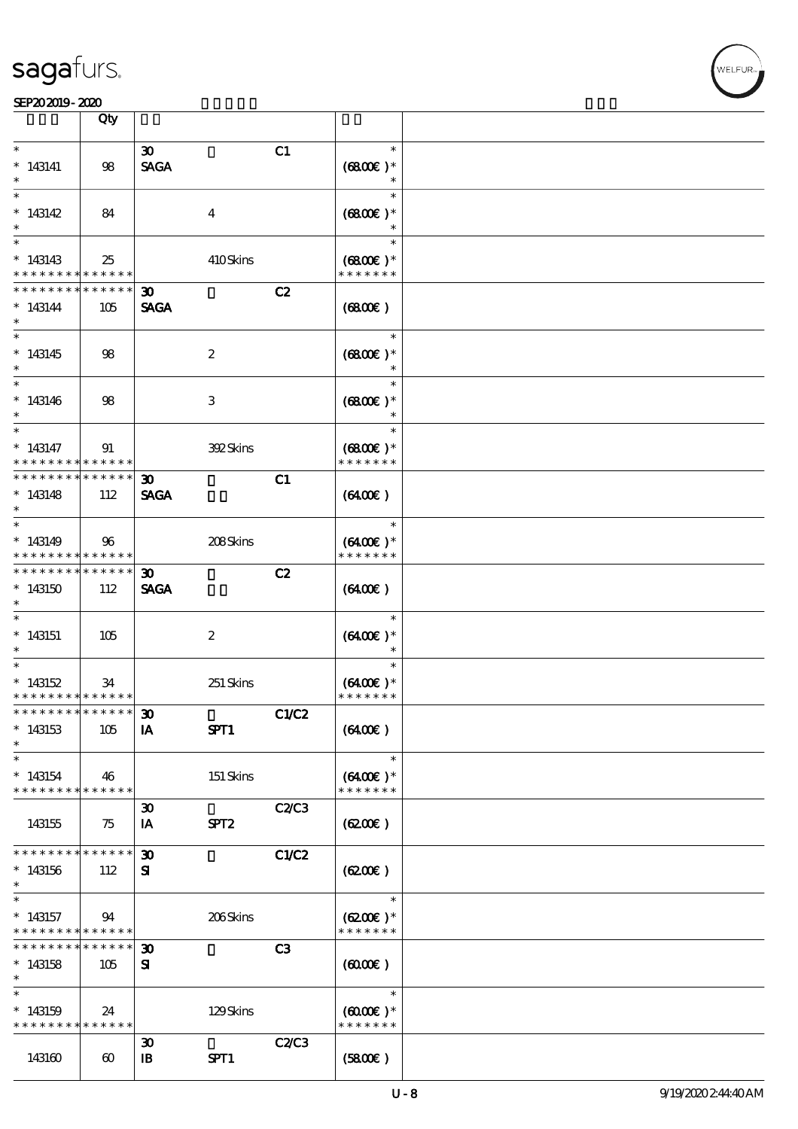|                                                                   | Qty                    |                                             |                  |       |                                                 |  |
|-------------------------------------------------------------------|------------------------|---------------------------------------------|------------------|-------|-------------------------------------------------|--|
| $\ast$                                                            |                        | $\boldsymbol{\mathfrak{D}}$                 |                  | C1    | $\ast$                                          |  |
| $*143141$                                                         | 98                     | <b>SAGA</b>                                 |                  |       | $(6800)$ *                                      |  |
| $\overline{\ast}$<br>$*143142$                                    | 84                     |                                             | $\overline{4}$   |       | $\ast$<br>$(6800)$ *                            |  |
| $*143143$<br>* * * * * * * * <mark>* * * * * * *</mark>           | 25                     |                                             | 410Skins         |       | $\ast$<br>$(6800)$ *<br>* * * * * * *           |  |
| * * * * * * * *<br>$*143144$<br>$\ast$                            | ******<br>105          | $\boldsymbol{\mathfrak{D}}$<br><b>SAGA</b>  |                  | C2    | (6800)                                          |  |
| $*143145$<br>$\ast$                                               | 98                     |                                             | $\boldsymbol{2}$ |       | $\ast$<br>$(6800)$ *<br>$\ast$                  |  |
| $\ast$<br>$*143146$<br>$\ast$                                     | 98                     |                                             | 3                |       | $\ast$<br>$(6800)$ *<br>$\ast$                  |  |
| $\ast$<br>$* 143147$<br>* * * * * * * * <mark>* * * * * *</mark>  | 91                     |                                             | 392Skins         |       | $\ast$<br>$(6800)$ *<br>* * * * * * *           |  |
| **************<br>$*143148$<br>$\ast$                             | 112                    | $\boldsymbol{\mathfrak{D}}$<br><b>SAGA</b>  |                  | C1    | $(6400\varepsilon)$                             |  |
| $*143149$<br>* * * * * * * * <mark>* * * * * * *</mark>           | 96                     |                                             | 208Skins         |       | $\ast$<br>$(6400)$ *<br>* * * * * * *           |  |
| * * * * * * * * <mark>*</mark><br>$*143150$<br>$\ast$             | $* * * * * * *$<br>112 | $\boldsymbol{\mathfrak{D}}$<br><b>SAGA</b>  |                  | C2    | $(6400\varepsilon)$                             |  |
| $\ast$<br>$*143151$<br>$\ast$                                     | 105                    |                                             | $\boldsymbol{2}$ |       | $\ast$<br>$(6400)$ *<br>$\ast$                  |  |
| $\ast$<br>$*143152$<br>* * * * * * * * <mark>* * * * * *</mark>   | 34                     |                                             | 251 Skins        |       | $\ast$<br>$(6400)$ *<br>* * * * * * *           |  |
| *************** 30<br>$*143153$<br>$\ast$                         | 105                    | IA                                          | SPT1             | C1/C2 | (6400)                                          |  |
| $\ast$<br>$*143154$<br>* * * * * * * * <mark>* * * * * * *</mark> | 46                     |                                             | 151 Skins        |       | $\ast$<br>$(6400)$ *<br>* * * * * * *           |  |
| 143155                                                            | 75                     | $\boldsymbol{\mathfrak{D}}$<br>IA           | SPT <sub>2</sub> | C2C3  | (6200)                                          |  |
| * * * * * * * *<br>$*143156$<br>$\ast$                            | * * * * * *<br>112     | $\boldsymbol{\mathfrak{D}}$<br>${\bf s}$    |                  | C1/C2 | (6200)                                          |  |
| $\ast$<br>$*143157$<br>* * * * * * * * <mark>* * * * * *</mark>   | 94                     |                                             | 206Skins         |       | $\ast$<br>$(6200)$ *<br>* * * * * * *           |  |
| * * * * * * * *<br>$*143158$<br>$\ast$                            | $* * * * * * *$<br>105 | $\boldsymbol{\mathfrak{D}}$<br>${\bf s}$    |                  | C3    | (600)                                           |  |
| $\ast$<br>$*143159$<br>* * * * * * * * * * * * * * *              | 24                     |                                             | 129Skins         |       | $\ast$<br>$(6000\varepsilon)*$<br>* * * * * * * |  |
| 143160                                                            | $\boldsymbol{\omega}$  | $\boldsymbol{\mathfrak{D}}$<br>$\mathbf{B}$ | SPT1             | C2C3  | (5800)                                          |  |

.<br>WELFUR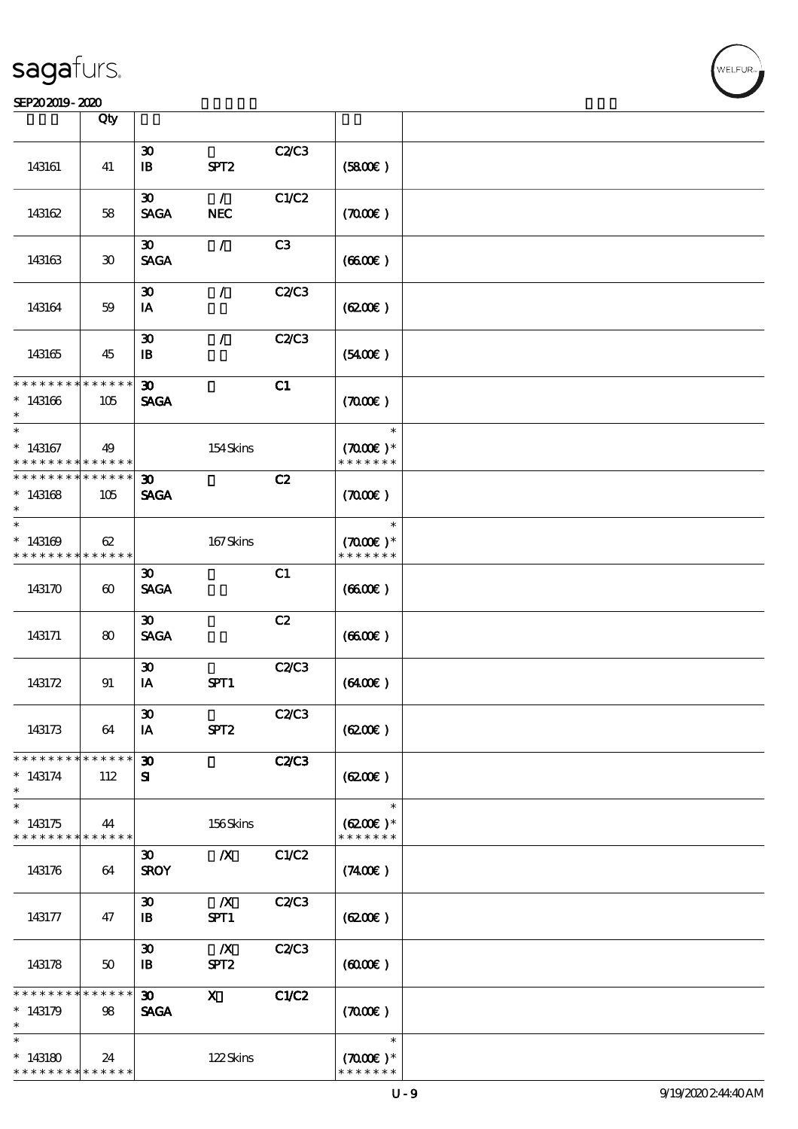#### SEP202019-2020

|                                        | Qty                         |                                             |                                      |                |                                                 |  |
|----------------------------------------|-----------------------------|---------------------------------------------|--------------------------------------|----------------|-------------------------------------------------|--|
| 143161                                 | 41                          | $\boldsymbol{\mathfrak{D}}$<br>$\mathbf{B}$ | SPT <sub>2</sub>                     | C2/C3          | (5800)                                          |  |
| 143162                                 | 58                          | $\boldsymbol{\mathfrak{D}}$<br><b>SAGA</b>  | $\mathcal{L}$<br><b>NEC</b>          | C1/C2          | (7000)                                          |  |
| 143163                                 | $\boldsymbol{\mathfrak{D}}$ | $\boldsymbol{\mathfrak{D}}$<br><b>SAGA</b>  | $\mathcal{L}$                        | C <sub>3</sub> | (660)                                           |  |
| 143164                                 | 59                          | $\boldsymbol{\mathfrak{D}}$<br>IA           | $\mathcal{L}$                        | C2/C3          | (620)                                           |  |
| 143165                                 | 45                          | $\boldsymbol{\mathfrak{D}}$<br>$\mathbf{B}$ | $\mathcal{L}$                        | C2/C3          | (5400)                                          |  |
| * * * * * * * *<br>$*143166$<br>$\ast$ | $* * * * * * *$<br>105      | 30 <sub>o</sub><br><b>SAGA</b>              |                                      | C1             | (7000)                                          |  |
| $*$<br>$*143167$<br>* * * * * * * *    | 49<br>* * * * * *           |                                             | 154Skins                             |                | $\ast$<br>$(7000\varepsilon)*$<br>* * * * * * * |  |
| * * * * * * * *<br>$*143168$<br>$\ast$ | * * * * * *<br>105          | $\boldsymbol{\mathfrak{D}}$<br><b>SAGA</b>  |                                      | C2             | (700)                                           |  |
| $\ast$<br>$*143169$<br>* * * * * * * * | 62<br>* * * * * *           |                                             | 167Skins                             |                | $\ast$<br>$(7000\varepsilon)*$<br>* * * * * * * |  |
| 143170                                 | $\boldsymbol{\omega}$       | $\boldsymbol{\mathfrak{D}}$<br><b>SAGA</b>  |                                      | C1             | (660E)                                          |  |
| 143171                                 | 80                          | $\boldsymbol{\mathfrak{D}}$<br><b>SAGA</b>  |                                      | C2             | (660)                                           |  |
| 143172                                 | 91                          | $\boldsymbol{\mathfrak{D}}$<br>IA           | SPT1                                 | C2C3           | (6400)                                          |  |
| 143173                                 | 64                          | $\boldsymbol{\mathfrak{D}}$<br>IA           | SPT <sub>2</sub>                     | C2C3           | (6200)                                          |  |
| * * * * * * * *<br>$*143174$<br>$\ast$ | * * * * * *<br>112          | $\boldsymbol{\mathfrak{D}}$<br>${\bf s}$    |                                      | <b>C2/C3</b>   | (6200)                                          |  |
| $\ast$<br>$*143175$<br>* * * * * * * * | 44<br>******                |                                             | 156Skins                             |                | $\ast$<br>$(6200)$ *<br>* * * * * * *           |  |
| 143176                                 | 64                          | $\boldsymbol{\mathfrak{D}}$<br><b>SROY</b>  | $\boldsymbol{X}$                     | C1/C2          | (7400)                                          |  |
| 143177                                 | 47                          | $\boldsymbol{\mathfrak{D}}$<br>$\mathbf{B}$ | $\boldsymbol{X}$<br>SPT1             | C2C3           | (620)                                           |  |
| 143178                                 | 50                          | $\boldsymbol{\mathfrak{D}}$<br>$\mathbf{B}$ | $\boldsymbol{X}$<br>SPT <sub>2</sub> | C2/C3          | (600)                                           |  |
| * * * * * * * *<br>$*143179$<br>$\ast$ | * * * * * *<br>98           | $\boldsymbol{\mathfrak{D}}$<br><b>SAGA</b>  | $\mathbf{x}$                         | C1/C2          | (7000)                                          |  |
| $\ast$<br>$*143180$<br>* * * * * * * * | 24<br>* * * * * *           |                                             | 122Skins                             |                | $\ast$<br>$(7000\varepsilon)*$<br>* * * * * * * |  |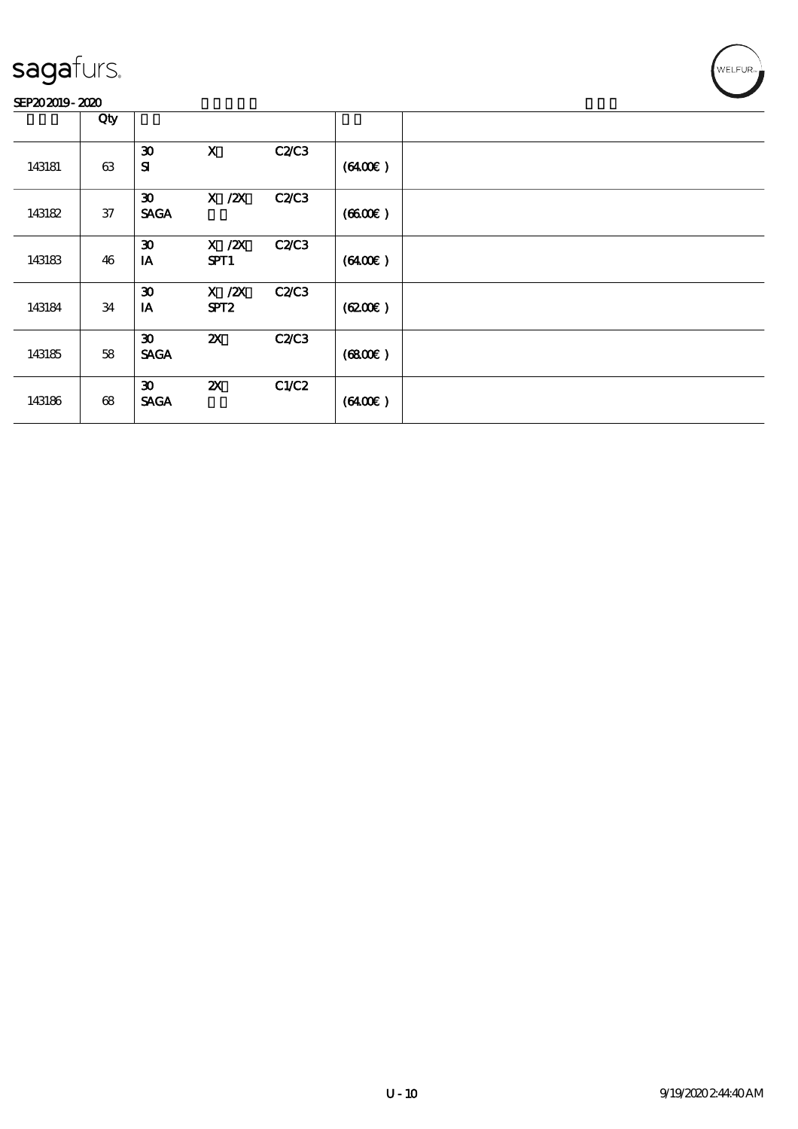#### SEP202019-2020

|        | Qty |                                            |                                |              |                     |  |
|--------|-----|--------------------------------------------|--------------------------------|--------------|---------------------|--|
| 143181 | 63  | $\boldsymbol{\mathfrak{D}}$<br>${\bf s}$   | $\mathbf x$                    | <b>C2/C3</b> | (6400)              |  |
| 143182 | 37  | $\boldsymbol{\mathfrak{D}}$<br><b>SAGA</b> | $X$ / $ZX$                     | <b>C2/C3</b> | (660)               |  |
| 143183 | 46  | $\boldsymbol{\mathfrak{D}}$<br>IA          | $X$ / $ZX$<br>SPT1             | <b>C2/C3</b> | (6400)              |  |
| 143184 | 34  | $\boldsymbol{\mathfrak{D}}$<br>IA          | $X$ / $ZX$<br>SPT <sub>2</sub> | <b>C2/C3</b> | (6200)              |  |
| 143185 | 58  | $\boldsymbol{\mathfrak{D}}$<br><b>SAGA</b> | $\boldsymbol{\mathsf{Z}}$      | <b>C2/C3</b> | (6800)              |  |
| 143186 | 68  | $\boldsymbol{\mathfrak{D}}$<br><b>SAGA</b> | $\boldsymbol{\mathsf{z}}$      | C1/C2        | $(6400\varepsilon)$ |  |